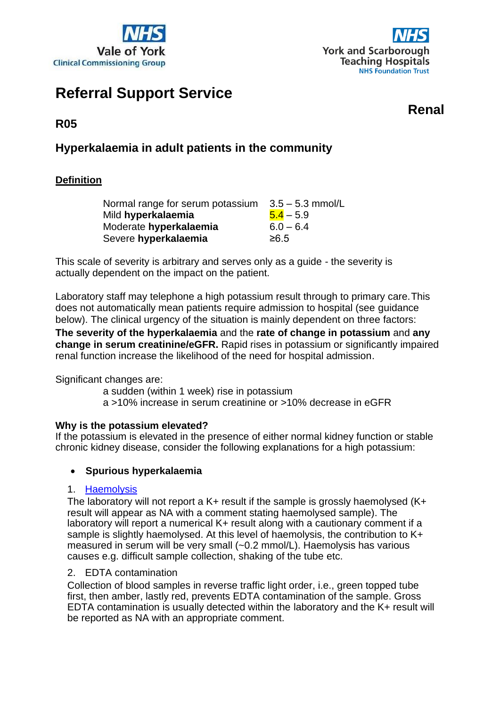



# **Referral Support Service**

**Renal**

**R05**

# **Hyperkalaemia in adult patients in the community**

# **Definition**

| Normal range for serum potassium | $3.5 - 5.3$ mmol/L |
|----------------------------------|--------------------|
| Mild hyperkalaemia               | $5.4 - 5.9$        |
| Moderate hyperkalaemia           | $6.0 - 6.4$        |
| Severe hyperkalaemia             | ≥6.5               |

This scale of severity is arbitrary and serves only as a guide - the severity is actually dependent on the impact on the patient.

Laboratory staff may telephone a high potassium result through to primary care.This does not automatically mean patients require admission to hospital (see guidance below). The clinical urgency of the situation is mainly dependent on three factors: **The severity of the hyperkalaemia** and the **rate of change in potassium** and **any change in serum creatinine/eGFR.** Rapid rises in potassium or significantly impaired renal function increase the likelihood of the need for hospital admission.

Significant changes are:

a sudden (within 1 week) rise in potassium a >10% increase in serum creatinine or >10% decrease in eGFR

# **Why is the potassium elevated?**

If the potassium is elevated in the presence of either normal kidney function or stable chronic kidney disease, consider the following explanations for a high potassium:

# • **Spurious hyperkalaemia**

# 1. [Haemolysis](https://tinyurl.com/BiochemInfo)

The laboratory will not report a  $K+$  result if the sample is grossly haemolysed  $(K+$ result will appear as NA with a comment stating haemolysed sample). The laboratory will report a numerical K+ result along with a cautionary comment if a sample is slightly haemolysed. At this level of haemolysis, the contribution to K+ measured in serum will be very small (~0.2 mmol/L). Haemolysis has various causes e.g. difficult sample collection, shaking of the tube etc.

#### 2. EDTA contamination

Collection of blood samples in reverse traffic light order, i.e., green topped tube first, then amber, lastly red, prevents EDTA contamination of the sample. Gross EDTA contamination is usually detected within the laboratory and the K+ result will be reported as NA with an appropriate comment.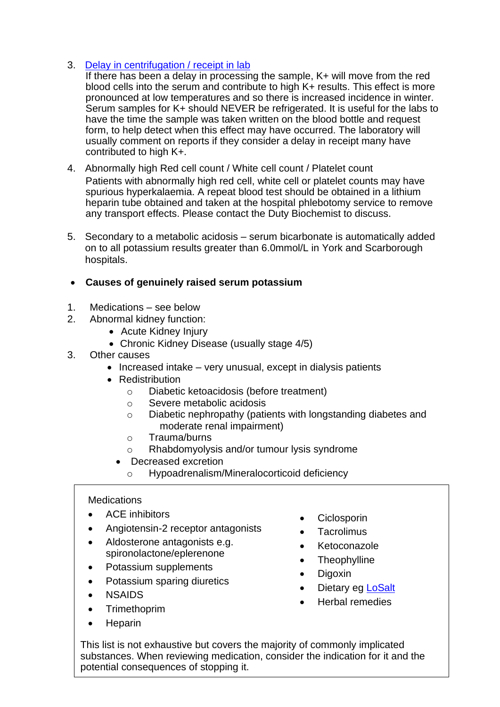# 3. [Delay in centrifugation / receipt in lab](https://tinyurl.com/BiochemInfo)

If there has been a delay in processing the sample, K+ will move from the red blood cells into the serum and contribute to high K+ results. This effect is more pronounced at low temperatures and so there is increased incidence in winter. Serum samples for K+ should NEVER be refrigerated. It is useful for the labs to have the time the sample was taken written on the blood bottle and request form, to help detect when this effect may have occurred. The laboratory will usually comment on reports if they consider a delay in receipt many have contributed to high K+.

- 4. Abnormally high Red cell count / White cell count / Platelet count Patients with abnormally high red cell, white cell or platelet counts may have spurious hyperkalaemia. A repeat blood test should be obtained in a lithium heparin tube obtained and taken at the hospital phlebotomy service to remove any transport effects. Please contact the Duty Biochemist to discuss.
- 5. Secondary to a metabolic acidosis serum bicarbonate is automatically added on to all potassium results greater than 6.0mmol/L in York and Scarborough hospitals.

# • **Causes of genuinely raised serum potassium**

- 1. Medications see below
- 2. Abnormal kidney function:
	- Acute Kidney Injury
	- Chronic Kidney Disease (usually stage 4/5)
- 3. Other causes
	- Increased intake very unusual, except in dialysis patients
	- Redistribution
		- o Diabetic ketoacidosis (before treatment)
		- o Severe metabolic acidosis
		- o Diabetic nephropathy (patients with longstanding diabetes and moderate renal impairment)
		- o Trauma/burns
		- o Rhabdomyolysis and/or tumour lysis syndrome
		- Decreased excretion
			- o Hypoadrenalism/Mineralocorticoid deficiency

#### **Medications**

- ACE inhibitors
- Angiotensin-2 receptor antagonists
- Aldosterone antagonists e.g. spironolactone/eplerenone
- Potassium supplements
- Potassium sparing diuretics
- NSAIDS
- Trimethoprim
- Heparin
- Ciclosporin
- Tacrolimus
- Ketoconazole
- Theophylline
- Digoxin
- Dietary eg [LoSalt](https://uk.losalt.com/)
- Herbal remedies

This list is not exhaustive but covers the majority of commonly implicated substances. When reviewing medication, consider the indication for it and the potential consequences of stopping it.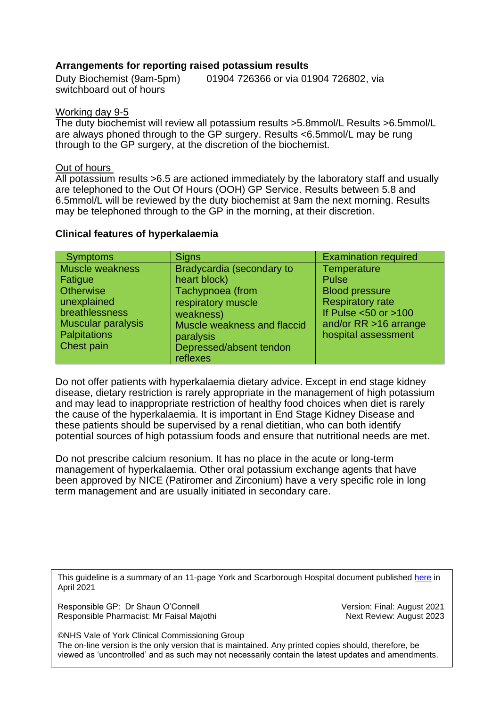#### **Arrangements for reporting raised potassium results**

Duty Biochemist (9am-5pm) 01904 726366 or via 01904 726802, via switchboard out of hours

#### Working day 9-5

The duty biochemist will review all potassium results >5.8mmol/L Results >6.5mmol/L are always phoned through to the GP surgery. Results <6.5mmol/L may be rung through to the GP surgery, at the discretion of the biochemist.

#### Out of hours

All potassium results >6.5 are actioned immediately by the laboratory staff and usually are telephoned to the Out Of Hours (OOH) GP Service. Results between 5.8 and 6.5mmol/L will be reviewed by the duty biochemist at 9am the next morning. Results may be telephoned through to the GP in the morning, at their discretion.

#### **Clinical features of hyperkalaemia**

| <b>Symptoms</b>           | <b>Signs</b>                | <b>Examination required</b> |
|---------------------------|-----------------------------|-----------------------------|
| <b>Muscle weakness</b>    | Bradycardia (secondary to   | Temperature                 |
| Fatigue                   | heart block)                | <b>Pulse</b>                |
| <b>Otherwise</b>          | Tachypnoea (from            | <b>Blood pressure</b>       |
| unexplained               | respiratory muscle          | <b>Respiratory rate</b>     |
| breathlessness            | weakness)                   | If Pulse $<$ 50 or $>$ 100  |
| <b>Muscular paralysis</b> | Muscle weakness and flaccid | and/or $RR > 16$ arrange    |
| Palpitations              | paralysis                   | hospital assessment         |
| <b>Chest pain</b>         | Depressed/absent tendon     |                             |
|                           | reflexes                    |                             |

Do not offer patients with hyperkalaemia dietary advice. Except in end stage kidney disease, dietary restriction is rarely appropriate in the management of high potassium and may lead to inappropriate restriction of healthy food choices when diet is rarely the cause of the hyperkalaemia. It is important in End Stage Kidney Disease and these patients should be supervised by a renal dietitian, who can both identify potential sources of high potassium foods and ensure that nutritional needs are met.

Do not prescribe calcium resonium. It has no place in the acute or long-term management of hyperkalaemia. Other oral potassium exchange agents that have been approved by NICE (Patiromer and Zirconium) have a very specific role in long term management and are usually initiated in secondary care.

This guideline is a summary of an 11-page York and Scarborough Hospital document published [here](https://www.yorkhospitals.nhs.uk/seecmsfile/?id=3483) in April 2021

Responsible GP: Dr Shaun O'Connell Version: Final: August 2021 Responsible Pharmacist: Mr Faisal Majothi Next Review: August 2023

©NHS Vale of York Clinical Commissioning Group The on-line version is the only version that is maintained. Any printed copies should, therefore, be viewed as 'uncontrolled' and as such may not necessarily contain the latest updates and amendments.